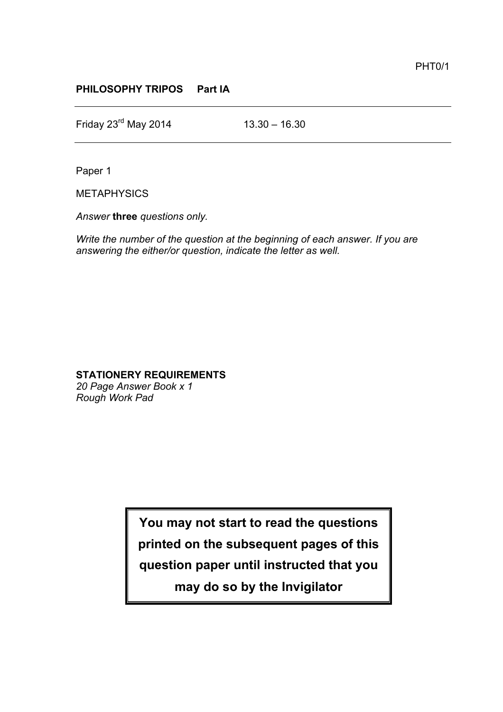## **PHILOSOPHY TRIPOS Part IA**

Friday  $23^{rd}$  May 2014 13.30 – 16.30

Paper 1

**METAPHYSICS** 

*Answer* **three** *questions only.*

*Write the number of the question at the beginning of each answer. If you are answering the either/or question, indicate the letter as well.*

## **STATIONERY REQUIREMENTS**

*20 Page Answer Book x 1 Rough Work Pad*

> **You may not start to read the questions printed on the subsequent pages of this question paper until instructed that you may do so by the Invigilator**